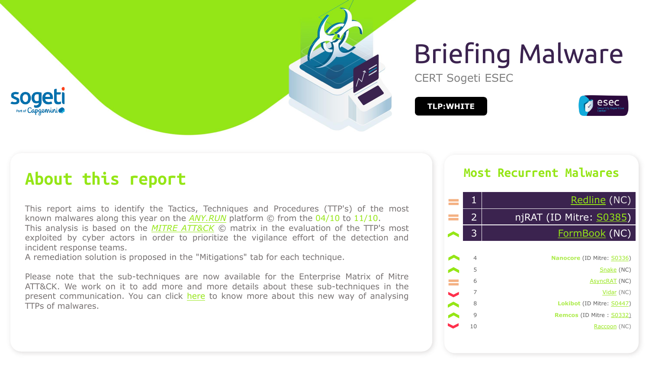

# Briefing Malware

CERT Sogeti ESEC

**TLP:WHITE**



### **About this report**

This report aims to identify the Tactics, Techniques and Procedures (TTP's) of the most known malwares along this year on the *[ANY.RUN](https://any.run/malware-trends/)* platform © from the 04/10 to 11/10. This analysis is based on the *MITRE [ATT&CK](https://attack.mitre.org/matrices/enterprise/)* © matrix in the evaluation of the TTP's most exploited by cyber actors in order to prioritize the vigilance effort of the detection and incident response teams.

A remediation solution is proposed in the "Mitigations" tab for each technique.

Please note that the sub-techniques are now available for the Enterprise Matrix of Mitre ATT&CK. We work on it to add more and more details about these sub-techniques in the present communication. You can click [here](https://www.tripwire.com/state-of-security/mitre-framework/mitre-attck-update-sub-techniques-july-2020/) to know more about this new way of analysing TTPs of malwares.

#### **Most Recurrent Malwares**

| e e                   | 1              | Redline (NC)                      |
|-----------------------|----------------|-----------------------------------|
|                       | 2              | njRAT (ID Mitre: <u>S0385)</u>    |
|                       | 3              | FormBook (NC)                     |
|                       |                |                                   |
|                       | $\overline{4}$ | <b>Nanocore</b> (ID Mitre: S0336) |
|                       | 5              | Snake (NC)                        |
| e i                   | 6              | AsyncRAT (NC)                     |
| $\blacktriangleright$ | 7              | Vidar (NC)                        |
|                       | 8              | <b>Lokibot</b> (ID Mitre: S0447)  |
|                       | 9              | <b>Remcos</b> (ID Mitre: S0332)   |
|                       | 10             | Raccoon (NC)                      |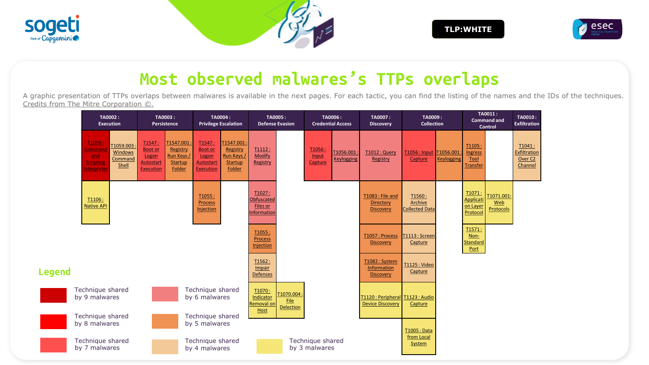





## **Most observed malwares's TTPs overlaps**

A graphic presentation of TTPs overlaps between malwares is available in the next pages. For each tactic, you can find the listing of the names and the IDs of the techniques. Credits from The Mitre Corporation  $\mathbb{C}$ .

|               | TA0002:<br><b>Execution</b>                                                                                                | TA0003:<br>Persistence                                                                                                                | TA0004:<br><b>Privilege Escalation</b>                                                                                         | TA0005:<br><b>Defense Evasion</b>                                          | TA0006:<br><b>Credential Access</b>                   | TA0007:<br><b>Discovery</b>                                    | TA0009:<br><b>Collection</b>               |                   |                                             | TA0011:<br><b>Command and</b><br><b>Control</b> | TA0010:<br><b>Exfiltration</b>                          |
|---------------|----------------------------------------------------------------------------------------------------------------------------|---------------------------------------------------------------------------------------------------------------------------------------|--------------------------------------------------------------------------------------------------------------------------------|----------------------------------------------------------------------------|-------------------------------------------------------|----------------------------------------------------------------|--------------------------------------------|-------------------|---------------------------------------------|-------------------------------------------------|---------------------------------------------------------|
|               | T <sub>1059</sub> :<br>T1059.003<br><b>Command</b><br>Windows<br>and<br>Command<br><b>Scripting</b><br>Shell<br>nterpreter | T1547:<br>T1547.001<br><b>Boot or</b><br>Registry<br>Run Keys /<br>Logon<br><b>Autostart</b><br>Startup<br><b>Execution</b><br>Folder | T1547:<br>T1547.001<br><b>Boot</b> or<br>Registry<br>Run Keys /<br>Logon<br>Autostart<br>Startup<br><b>Execution</b><br>Folder | T1112:<br><b>Modify</b><br>Registry                                        | T1056:<br>T1056.001<br>Input<br>Keylogging<br>Capture | <b>T1012 : Query</b><br>Registry                               | T1056: Input T1056.001<br>Capture          | <b>Keylogging</b> | T1105:<br>Ingress<br>Tool<br>Transfer       |                                                 | T1041:<br>Exfiltration<br>Over <sub>C2</sub><br>Channel |
|               | T1106:<br><b>Native API</b>                                                                                                |                                                                                                                                       | T1055:<br>Process<br>Injection                                                                                                 | T1027:<br>Obfuscated<br>Files or<br><b>Informatior</b>                     |                                                       | <b>T1083: File and</b><br><b>Directory</b><br><b>Discovery</b> | T1560:<br>Archive<br><b>Collected Data</b> |                   | T1071:<br>Applicati<br>on Layer<br>Protocol | T1071.001:<br>Web<br>Protocols                  |                                                         |
|               |                                                                                                                            |                                                                                                                                       |                                                                                                                                | T1055:<br><b>Process</b><br>Injection                                      |                                                       | T1057: Process<br><b>Discovery</b>                             | T1113: Screen<br>Capture                   |                   | T1571:<br>Non-<br><b>Standard</b><br>Port   |                                                 |                                                         |
| <b>Legend</b> |                                                                                                                            |                                                                                                                                       |                                                                                                                                | T1562:<br>Impair<br><b>Defenses</b>                                        |                                                       | T1082: System<br>Information<br><b>Discovery</b>               | <b>T1125: Video</b><br>Capture             |                   |                                             |                                                 |                                                         |
|               | Technique shared<br>by 9 malwares                                                                                          |                                                                                                                                       | Technique shared<br>by 6 malwares                                                                                              | T1070:<br>T1070.004<br>Indicator<br>File<br>Removal on<br><b>Delection</b> |                                                       | T1120: Peripheral T1123: Audio<br><b>Device Discovery</b>      | Capture                                    |                   |                                             |                                                 |                                                         |
|               | Technique shared<br>by 8 malwares                                                                                          |                                                                                                                                       | Technique shared<br>by 5 malwares                                                                                              | Host                                                                       |                                                       |                                                                | T1005: Data                                |                   |                                             |                                                 |                                                         |
|               | Technique shared<br>by 7 malwares                                                                                          |                                                                                                                                       | Technique shared<br>by 4 malwares                                                                                              |                                                                            | Technique shared<br>by 3 malwares                     |                                                                | from Local<br>System                       |                   |                                             |                                                 |                                                         |